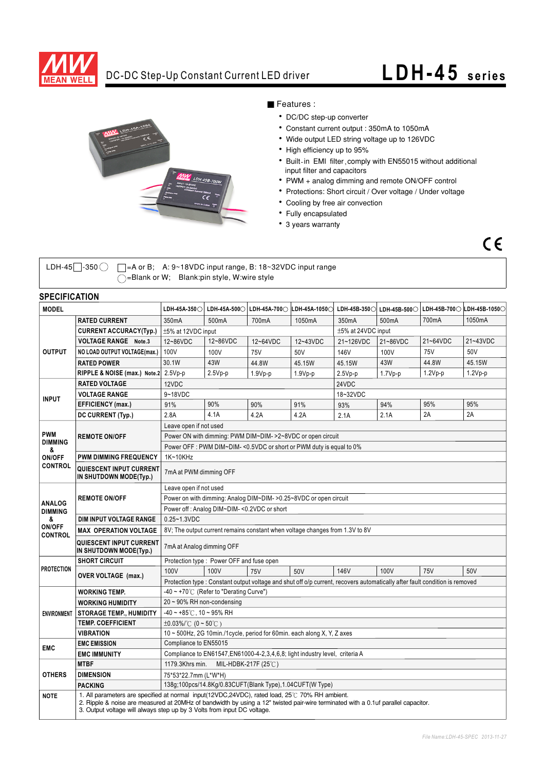

### **DC-DC Step-Up Constant Current LED driver LDH-45 series**



#### ■ Features :

- DC/DC step-up converter
- ‧Constant current output : 350mA to 1050mA
- ‧Wide output LED string voltage up to 126VDC
- ‧High efficiency up to 95%
- ‧Built-in EMI filter,comply with EN55015 without additional input filter and capacitors
- ‧PWM + analog dimming and remote ON/OFF control
- ‧Protections: Short circuit / Over voltage / Under voltage
- ‧Cooling by free air convection
- ‧Fully encapsulated
- ‧3 years warranty



LDH-45  $\Box$ -350  $\bigcirc$   $\Box$  =A or B; A: 9~18VDC input range, B: 18~32VDC input range ◯=Blank or W; Blank:pin style, W:wire style

### **SPECIFICATION**

| <b>MODEL</b>                                                     |                                                                                                                                                                                                                                                                                                                | $L$ DH-45A-350 $\odot$ l                                                                                                    |                                                          | LDH-45A-500○ LDH-45A-700○ | LDH-45A-10500 |           | LDH-45B-350○ LDH-45B-500○ |           | LDH-45B-700○ LDH-45B-1050○ |
|------------------------------------------------------------------|----------------------------------------------------------------------------------------------------------------------------------------------------------------------------------------------------------------------------------------------------------------------------------------------------------------|-----------------------------------------------------------------------------------------------------------------------------|----------------------------------------------------------|---------------------------|---------------|-----------|---------------------------|-----------|----------------------------|
| <b>OUTPUT</b>                                                    | <b>RATED CURRENT</b>                                                                                                                                                                                                                                                                                           | 350mA                                                                                                                       | 500mA                                                    | 700mA                     | 1050mA        | 350mA     | 500mA                     | 700mA     | 1050mA                     |
|                                                                  | <b>CURRENT ACCURACY(Typ.)</b>                                                                                                                                                                                                                                                                                  |                                                                                                                             | ±5% at 12VDC input<br>±5% at 24VDC input                 |                           |               |           |                           |           |                            |
|                                                                  | <b>VOLTAGE RANGE Note.3</b>                                                                                                                                                                                                                                                                                    | 12~86VDC                                                                                                                    | 12~86VDC                                                 | 12~64VDC                  | 12~43VDC      | 21~126VDC | 21~86VDC                  | 21~64VDC  | 21~43VDC                   |
|                                                                  | NO LOAD OUTPUT VOLTAGE(max.)                                                                                                                                                                                                                                                                                   | 100V                                                                                                                        | 100V                                                     | 75V                       | 50V           | 146V      | 100V                      | 75V       | 50V                        |
|                                                                  | <b>RATED POWER</b>                                                                                                                                                                                                                                                                                             | 30.1W                                                                                                                       | 43W                                                      | 44.8W                     | 45.15W        | 45.15W    | 43W                       | 44.8W     | 45.15W                     |
|                                                                  | RIPPLE & NOISE (max.) Note.2 2.5Vp-p                                                                                                                                                                                                                                                                           |                                                                                                                             | $2.5Vp-p$                                                | $1.9Vp-p$                 | $1.9Vp-p$     | $2.5Vp-p$ | $1.7Vp-p$                 | $1.2Vp-p$ | $1.2Vp-p$                  |
| <b>INPUT</b>                                                     | <b>RATED VOLTAGE</b>                                                                                                                                                                                                                                                                                           | 12VDC                                                                                                                       |                                                          |                           |               | 24VDC     |                           |           |                            |
|                                                                  | <b>VOLTAGE RANGE</b>                                                                                                                                                                                                                                                                                           | 9~18VDC                                                                                                                     |                                                          |                           |               | 18~32VDC  |                           |           |                            |
|                                                                  | EFFICIENCY (max.)                                                                                                                                                                                                                                                                                              | 91%                                                                                                                         | 90%                                                      | 90%                       | 91%           | 93%       | 94%                       | 95%       | 95%                        |
|                                                                  | DC CURRENT (Typ.)                                                                                                                                                                                                                                                                                              | 2.8A                                                                                                                        | 4.1A                                                     | 4.2A                      | 4.2A          | 2.1A      | 2.1A                      | 2A        | 2A                         |
| <b>PWM</b><br><b>DIMMING</b><br>&<br>ON/OFF<br><b>CONTROL</b>    | <b>REMOTE ON/OFF</b>                                                                                                                                                                                                                                                                                           | Leave open if not used                                                                                                      |                                                          |                           |               |           |                           |           |                            |
|                                                                  |                                                                                                                                                                                                                                                                                                                | Power ON with dimming: PWM DIM~DIM->2~8VDC or open circuit                                                                  |                                                          |                           |               |           |                           |           |                            |
|                                                                  |                                                                                                                                                                                                                                                                                                                | Power OFF : PWM DIM~DIM-<0.5VDC or short or PWM duty is equal to 0%                                                         |                                                          |                           |               |           |                           |           |                            |
|                                                                  | <b>PWM DIMMING FREQUENCY</b>                                                                                                                                                                                                                                                                                   | 1K~10KHz                                                                                                                    |                                                          |                           |               |           |                           |           |                            |
|                                                                  | QUIESCENT INPUT CURRENT<br>IN SHUTDOWN MODE(Typ.)                                                                                                                                                                                                                                                              | 7mA at PWM dimming OFF                                                                                                      |                                                          |                           |               |           |                           |           |                            |
| <b>ANALOG</b><br><b>DIMMING</b><br>&<br>ON/OFF<br><b>CONTROL</b> | <b>REMOTE ON/OFF</b>                                                                                                                                                                                                                                                                                           | Leave open if not used                                                                                                      |                                                          |                           |               |           |                           |           |                            |
|                                                                  |                                                                                                                                                                                                                                                                                                                | Power on with dimming: Analog DIM~DIM- > 0.25~8VDC or open circuit                                                          |                                                          |                           |               |           |                           |           |                            |
|                                                                  |                                                                                                                                                                                                                                                                                                                | Power off: Analog DIM~DIM-<0.2VDC or short                                                                                  |                                                          |                           |               |           |                           |           |                            |
|                                                                  | DIM INPUT VOLTAGE RANGE                                                                                                                                                                                                                                                                                        | $0.25 - 1.3$ VDC                                                                                                            |                                                          |                           |               |           |                           |           |                            |
|                                                                  | <b>MAX OPERATION VOLTAGE</b>                                                                                                                                                                                                                                                                                   | 8V; The output current remains constant when voltage changes from 1.3V to 8V                                                |                                                          |                           |               |           |                           |           |                            |
|                                                                  | QUIESCENT INPUT CURRENT<br>IN SHUTDOWN MODE(Typ.)                                                                                                                                                                                                                                                              | 7mA at Analog dimming OFF                                                                                                   |                                                          |                           |               |           |                           |           |                            |
| <b>PROTECTION</b>                                                | <b>SHORT CIRCUIT</b>                                                                                                                                                                                                                                                                                           | Protection type : Power OFF and fuse open                                                                                   |                                                          |                           |               |           |                           |           |                            |
|                                                                  | <b>OVER VOLTAGE (max.)</b>                                                                                                                                                                                                                                                                                     | 100V                                                                                                                        | 100V                                                     | <b>75V</b>                | 50V           | 146V      | 100V                      | 75V       | 50V                        |
|                                                                  |                                                                                                                                                                                                                                                                                                                | Protection type : Constant output voltage and shut off o/p current, recovers automatically after fault condition is removed |                                                          |                           |               |           |                           |           |                            |
| <b>ENVIRONMENT</b>                                               | <b>WORKING TEMP.</b>                                                                                                                                                                                                                                                                                           | $-40 \sim +70^{\circ}$ (Refer to "Derating Curve")                                                                          |                                                          |                           |               |           |                           |           |                            |
|                                                                  | <b>WORKING HUMIDITY</b>                                                                                                                                                                                                                                                                                        | $20 \sim 90\%$ RH non-condensing                                                                                            |                                                          |                           |               |           |                           |           |                            |
|                                                                  | <b>STORAGE TEMP., HUMIDITY</b>                                                                                                                                                                                                                                                                                 | $-40 \sim +85^{\circ}$ C, 10 ~ 95% RH                                                                                       |                                                          |                           |               |           |                           |           |                            |
|                                                                  | <b>TEMP. COEFFICIENT</b>                                                                                                                                                                                                                                                                                       | $\pm 0.03\%$ (0 ~ 50°C)                                                                                                     |                                                          |                           |               |           |                           |           |                            |
|                                                                  | <b>VIBRATION</b>                                                                                                                                                                                                                                                                                               | 10 ~ 500Hz, 2G 10min./1cycle, period for 60min. each along X, Y, Z axes                                                     |                                                          |                           |               |           |                           |           |                            |
| <b>EMC</b><br><b>OTHERS</b>                                      | <b>EMC EMISSION</b>                                                                                                                                                                                                                                                                                            | Compliance to EN55015                                                                                                       |                                                          |                           |               |           |                           |           |                            |
|                                                                  | <b>EMC IMMUNITY</b>                                                                                                                                                                                                                                                                                            | Compliance to EN61547, EN61000-4-2, 3, 4, 6, 8; light industry level, criteria A                                            |                                                          |                           |               |           |                           |           |                            |
|                                                                  | <b>MTBF</b>                                                                                                                                                                                                                                                                                                    | 1179.3Khrs min.<br>MIL-HDBK-217F $(25^{\circ}$ C)                                                                           |                                                          |                           |               |           |                           |           |                            |
|                                                                  | <b>DIMENSION</b>                                                                                                                                                                                                                                                                                               | 75*53*22.7mm (L*W*H)                                                                                                        |                                                          |                           |               |           |                           |           |                            |
|                                                                  | <b>PACKING</b>                                                                                                                                                                                                                                                                                                 |                                                                                                                             | 138g;100pcs/14.8Kg/0.83CUFT(Blank Type),1.04CUFT(W Type) |                           |               |           |                           |           |                            |
| <b>NOTE</b>                                                      | 1. All parameters are specified at normal input(12VDC,24VDC), rated load, 25°C 70% RH ambient.<br>2. Ripple & noise are measured at 20MHz of bandwidth by using a 12" twisted pair-wire terminated with a 0.1uf parallel capacitor.<br>3. Output voltage will always step up by 3 Volts from input DC voltage. |                                                                                                                             |                                                          |                           |               |           |                           |           |                            |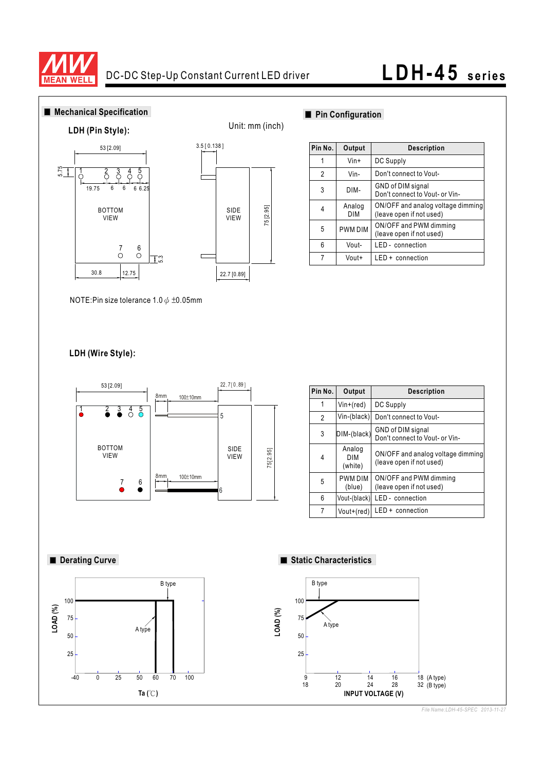

# **LDH-45** series



*File Name:LDH-45-SPEC 2013-11-27*

18 (A type)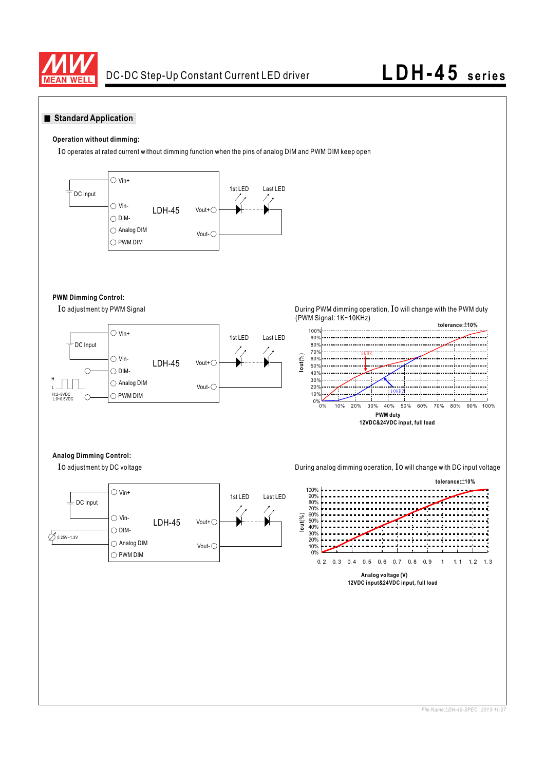

## **LDH-45** series

#### **Standard Application**

#### **Operation without dimming:**

Io operates at rated current without dimming function when the pins of analog DIM and PWM DIM keep open



#### **PWM Dimming Control:**

Io adjustment by PWM Signal



During PWM dimming operation, Io will change with the PWM duty (PWM Signal: 1K~10KHz)



#### **Analog Dimming Control:**

Io adjustment by DC voltage